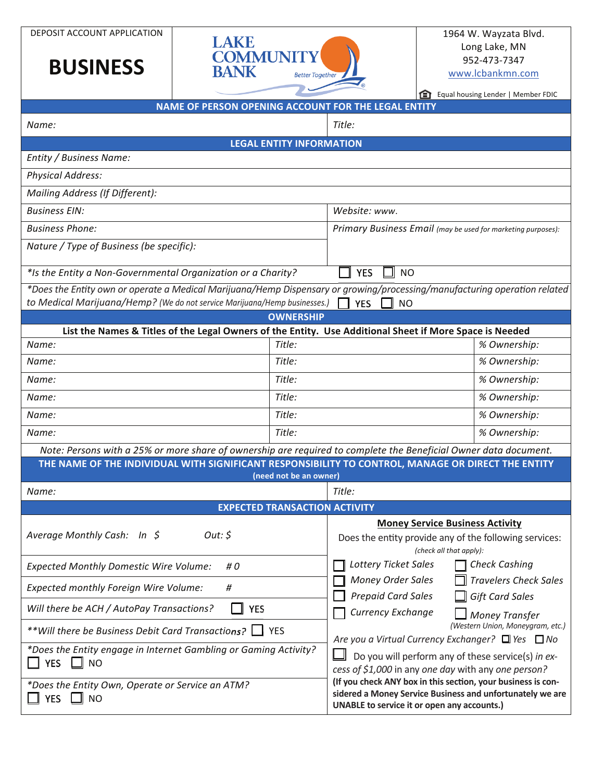DEPOSIT ACCOUNT APPLICATION

## **BUSINESS**



## 1964 W. Wayzata Blvd. Long Lake, MN 952-473-7347 www.lcbankmn.com

 $\mathcal{L}^{\mathcal{L}}$  .

| NAME OF PERSON OPENING ACCOUNT FOR THE LEGAL ENTITY                                                              |                                      | <b>THE LEADER EQUAL HOUSING LEADER   Member FDIC</b>                                                                                                                     |
|------------------------------------------------------------------------------------------------------------------|--------------------------------------|--------------------------------------------------------------------------------------------------------------------------------------------------------------------------|
|                                                                                                                  |                                      |                                                                                                                                                                          |
| Name:                                                                                                            |                                      | Title:                                                                                                                                                                   |
|                                                                                                                  | <b>LEGAL ENTITY INFORMATION</b>      |                                                                                                                                                                          |
| Entity / Business Name:                                                                                          |                                      |                                                                                                                                                                          |
| <b>Physical Address:</b>                                                                                         |                                      |                                                                                                                                                                          |
| Mailing Address (If Different):                                                                                  |                                      |                                                                                                                                                                          |
| <b>Business EIN:</b>                                                                                             |                                      | Website: www.                                                                                                                                                            |
| <b>Business Phone:</b>                                                                                           |                                      | Primary Business Email (may be used for marketing purposes):                                                                                                             |
| Nature / Type of Business (be specific):                                                                         |                                      |                                                                                                                                                                          |
| *Is the Entity a Non-Governmental Organization or a Charity?                                                     |                                      | <b>YES</b><br><b>NO</b>                                                                                                                                                  |
| to Medical Marijuana/Hemp? (We do not service Marijuana/Hemp businesses.) $\Box$ YES                             |                                      | *Does the Entity own or operate a Medical Marijuana/Hemp Dispensary or growing/processing/manufacturing operation related<br><b>NO</b>                                   |
|                                                                                                                  | <b>OWNERSHIP</b>                     |                                                                                                                                                                          |
| List the Names & Titles of the Legal Owners of the Entity. Use Additional Sheet if More Space is Needed          |                                      |                                                                                                                                                                          |
| Name:                                                                                                            | Title:                               | % Ownership:                                                                                                                                                             |
| Name:                                                                                                            | Title:                               | % Ownership:                                                                                                                                                             |
| Name:                                                                                                            | Title:                               | % Ownership:                                                                                                                                                             |
| Name:                                                                                                            | Title:                               | % Ownership:                                                                                                                                                             |
| Name:                                                                                                            | Title:                               | % Ownership:                                                                                                                                                             |
| Name:                                                                                                            | Title:                               | % Ownership:                                                                                                                                                             |
| Note: Persons with a 25% or more share of ownership are required to complete the Beneficial Owner data document. |                                      |                                                                                                                                                                          |
| THE NAME OF THE INDIVIDUAL WITH SIGNIFICANT RESPONSIBILITY TO CONTROL, MANAGE OR DIRECT THE ENTITY               | (need not be an owner)               |                                                                                                                                                                          |
| Name:                                                                                                            |                                      | Title:                                                                                                                                                                   |
|                                                                                                                  | <b>EXPECTED TRANSACTION ACTIVITY</b> |                                                                                                                                                                          |
| Out: \$<br>Average Monthly Cash: In \$                                                                           |                                      | <b>Money Service Business Activity</b><br>Does the entity provide any of the following services:                                                                         |
|                                                                                                                  |                                      | (check all that apply):                                                                                                                                                  |
| <b>Expected Monthly Domestic Wire Volume:</b><br># 0                                                             |                                      | <b>Lottery Ticket Sales</b><br><b>Check Cashing</b>                                                                                                                      |
| Expected monthly Foreign Wire Volume:<br>#                                                                       |                                      | <b>Money Order Sales</b><br><b>Travelers Check Sales</b><br><b>Prepaid Card Sales</b>                                                                                    |
| <b>YES</b><br>Will there be ACH / AutoPay Transactions?                                                          |                                      | <b>Gift Card Sales</b><br>Currency Exchange<br><b>Money Transfer</b>                                                                                                     |
| **Will there be Business Debit Card Transactions? $\Box$                                                         | I YES                                | (Western Union, Moneygram, etc.)<br>Are you a Virtual Currency Exchanger? □ Yes □ No                                                                                     |
| *Does the Entity engage in Internet Gambling or Gaming Activity?<br><b>YES</b><br><b>NO</b>                      |                                      | Do you will perform any of these service(s) in ex-<br>cess of \$1,000 in any one day with any one person?                                                                |
| *Does the Entity Own, Operate or Service an ATM?<br>YES $\Box$ NO                                                |                                      | (If you check ANY box in this section, your business is con-<br>sidered a Money Service Business and unfortunately we are<br>UNABLE to service it or open any accounts.) |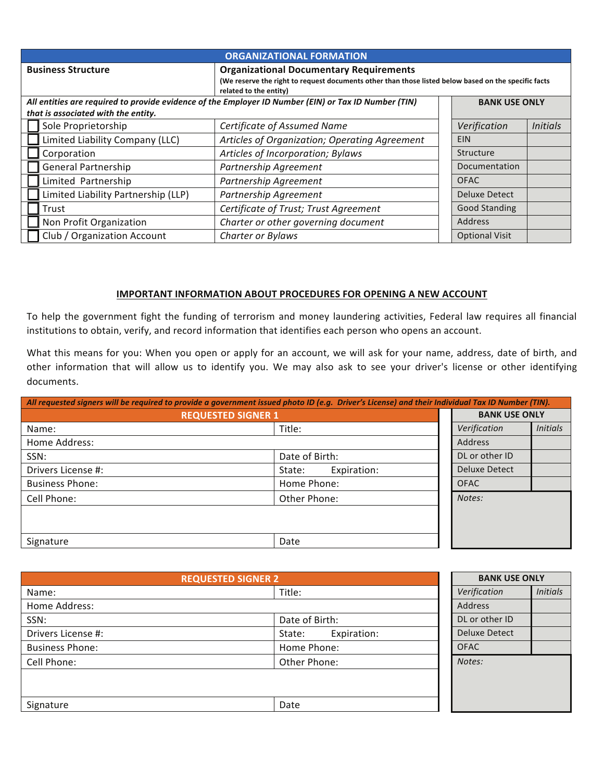| <b>ORGANIZATIONAL FORMATION</b>                                                                                                                                                                               |                                        |  |                      |                 |
|---------------------------------------------------------------------------------------------------------------------------------------------------------------------------------------------------------------|----------------------------------------|--|----------------------|-----------------|
| <b>Organizational Documentary Requirements</b><br><b>Business Structure</b><br>(We reserve the right to request documents other than those listed below based on the specific facts<br>related to the entity) |                                        |  |                      |                 |
| All entities are required to provide evidence of the Employer ID Number (EIN) or Tax ID Number (TIN)<br><b>BANK USE ONLY</b>                                                                                  |                                        |  |                      |                 |
| that is associated with the entity.                                                                                                                                                                           |                                        |  |                      |                 |
| Sole Proprietorship                                                                                                                                                                                           | Certificate of Assumed Name            |  | Verification         | <b>Initials</b> |
| Limited Liability Company (LLC)<br>Articles of Organization; Operating Agreement                                                                                                                              |                                        |  | <b>EIN</b>           |                 |
| Corporation                                                                                                                                                                                                   | Articles of Incorporation; Bylaws      |  | Structure            |                 |
| <b>General Partnership</b>                                                                                                                                                                                    | Partnership Agreement<br>Documentation |  |                      |                 |
| Limited Partnership<br>Partnership Agreement<br><b>OFAC</b>                                                                                                                                                   |                                        |  |                      |                 |
| Limited Liability Partnership (LLP)                                                                                                                                                                           | Partnership Agreement                  |  | Deluxe Detect        |                 |
| Trust                                                                                                                                                                                                         | Certificate of Trust; Trust Agreement  |  | <b>Good Standing</b> |                 |
| Non Profit Organization                                                                                                                                                                                       | Charter or other governing document    |  | <b>Address</b>       |                 |
| Club / Organization Account<br><b>Optional Visit</b><br>Charter or Bylaws                                                                                                                                     |                                        |  |                      |                 |

## **IMPORTANT INFORMATION ABOUT PROCEDURES FOR OPENING A NEW ACCOUNT**

To help the government fight the funding of terrorism and money laundering activities, Federal law requires all financial institutions to obtain, verify, and record information that identifies each person who opens an account.

What this means for you: When you open or apply for an account, we will ask for your name, address, date of birth, and other information that will allow us to identify you. We may also ask to see your driver's license or other identifying documents.

| All requested signers will be required to provide a government issued photo ID (e.g. Driver's License) and their Individual Tax ID Number (TIN). |                       |  |                      |                 |
|--------------------------------------------------------------------------------------------------------------------------------------------------|-----------------------|--|----------------------|-----------------|
| <b>REQUESTED SIGNER 1</b>                                                                                                                        |                       |  | <b>BANK USE ONLY</b> |                 |
| Title:<br>Name:                                                                                                                                  |                       |  | Verification         | <b>Initials</b> |
| Home Address:                                                                                                                                    |                       |  | <b>Address</b>       |                 |
| SSN:                                                                                                                                             | Date of Birth:        |  | DL or other ID       |                 |
| Drivers License #:                                                                                                                               | Expiration:<br>State: |  | <b>Deluxe Detect</b> |                 |
| <b>Business Phone:</b>                                                                                                                           | Home Phone:           |  | <b>OFAC</b>          |                 |
| Cell Phone:                                                                                                                                      | Other Phone:          |  | Notes:               |                 |
|                                                                                                                                                  |                       |  |                      |                 |
|                                                                                                                                                  |                       |  |                      |                 |
| Signature                                                                                                                                        | Date                  |  |                      |                 |

| <b>REQUESTED SIGNER 2</b> |                       | <b>BANK USE ONLY</b> |                 |
|---------------------------|-----------------------|----------------------|-----------------|
| Name:                     | Title:                | Verification         | <b>Initials</b> |
| Home Address:             |                       | <b>Address</b>       |                 |
| SSN:                      | Date of Birth:        | DL or other ID       |                 |
| Drivers License #:        | Expiration:<br>State: | Deluxe Detect        |                 |
| <b>Business Phone:</b>    | Home Phone:           | <b>OFAC</b>          |                 |
| Cell Phone:               | Other Phone:          | Notes:               |                 |
|                           |                       |                      |                 |
|                           |                       |                      |                 |
| Signature                 | Date                  |                      |                 |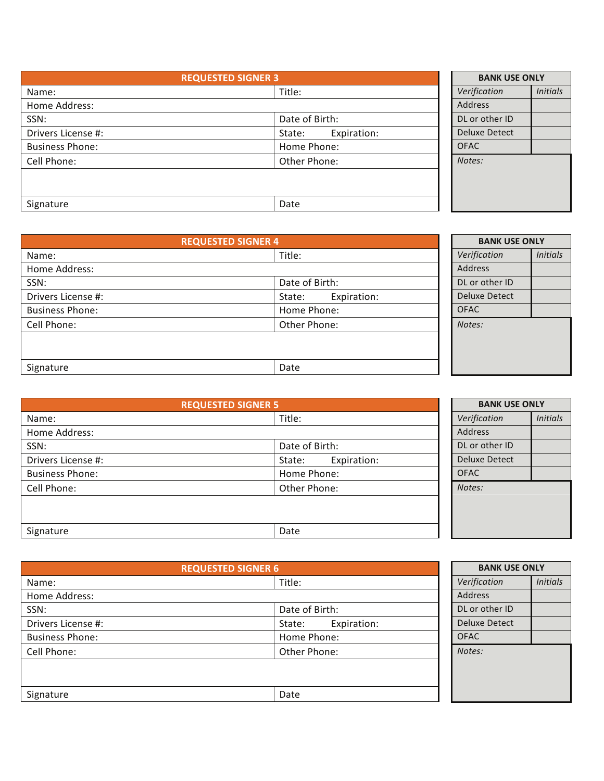| <b>REQUESTED SIGNER 3</b> |                       | <b>BANK USE ONLY</b> |                 |
|---------------------------|-----------------------|----------------------|-----------------|
| Name:                     | Title:                |                      | <b>Initials</b> |
| Home Address:             |                       | <b>Address</b>       |                 |
| SSN:                      | Date of Birth:        | DL or other ID       |                 |
| Drivers License #:        | Expiration:<br>State: | Deluxe Detect        |                 |
| <b>Business Phone:</b>    | Home Phone:           | <b>OFAC</b>          |                 |
| Cell Phone:               | Other Phone:          | Notes:               |                 |
|                           |                       |                      |                 |
|                           |                       |                      |                 |
| Signature                 | Date                  |                      |                 |

| <b>REQUESTED SIGNER 4</b> |                       | <b>BANK USE ONLY</b> |                 |
|---------------------------|-----------------------|----------------------|-----------------|
| Name:                     | Title:                | Verification         | <i>Initials</i> |
| Home Address:             |                       | <b>Address</b>       |                 |
| SSN:                      | Date of Birth:        | DL or other ID       |                 |
| Drivers License #:        | Expiration:<br>State: | <b>Deluxe Detect</b> |                 |
| <b>Business Phone:</b>    | Home Phone:           | <b>OFAC</b>          |                 |
| Cell Phone:               | Other Phone:          | Notes:               |                 |
|                           |                       |                      |                 |
|                           |                       |                      |                 |
| Signature                 | Date                  |                      |                 |

| <b>REQUESTED SIGNER 5</b> |                       | <b>BANK USE ONLY</b> |                 |
|---------------------------|-----------------------|----------------------|-----------------|
| Name:                     | Title:                | Verification         | <b>Initials</b> |
| Home Address:             |                       | Address              |                 |
| SSN:                      | Date of Birth:        | DL or other ID       |                 |
| Drivers License #:        | Expiration:<br>State: | Deluxe Detect        |                 |
| <b>Business Phone:</b>    | Home Phone:           | <b>OFAC</b>          |                 |
| Cell Phone:               | Other Phone:          | Notes:               |                 |
|                           |                       |                      |                 |
|                           |                       |                      |                 |
| Signature                 | Date                  |                      |                 |

| <b>REQUESTED SIGNER 6</b> |                       |                      | <b>BANK USE ONLY</b> |  |
|---------------------------|-----------------------|----------------------|----------------------|--|
| Name:                     | Title:                | Verification         | <b>Initials</b>      |  |
| Home Address:             |                       | Address              |                      |  |
| SSN:                      | Date of Birth:        | DL or other ID       |                      |  |
| Drivers License #:        | Expiration:<br>State: | <b>Deluxe Detect</b> |                      |  |
| <b>Business Phone:</b>    | Home Phone:           | <b>OFAC</b>          |                      |  |
| Cell Phone:               | Other Phone:          | Notes:               |                      |  |
|                           |                       |                      |                      |  |
|                           |                       |                      |                      |  |
| Signature                 | Date                  |                      |                      |  |